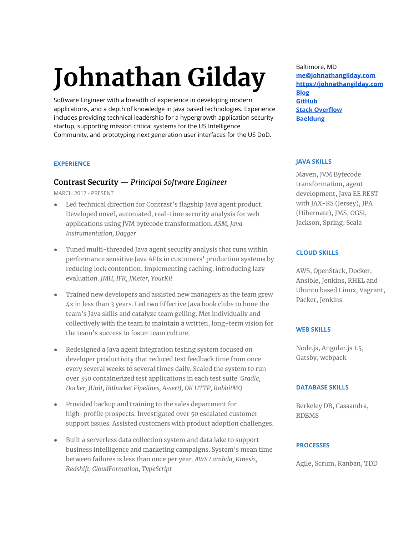# **Johnathan Gilday**

Software Engineer with a breadth of experience in developing modern applications, and a depth of knowledge in Java based technologies. Experience includes providing technical leadership for a hypergrowth application security startup, supporting mission critical systems for the US Intelligence Community, and prototyping next generation user interfaces for the US DoD.

## **EXPERIENCE**

# **Contrast Security** — *Principal Software Engineer*

MARCH 2017 - PRESENT

- Led technical direction for Contrast's flagship Java agent product. Developed novel, automated, real-time security analysis for web applications using JVM bytecode transformation. *ASM, Java Instrumentation, Dagger*
- Tuned multi-threaded Java agent security analysis that runs within performance sensitive Java APIs in customers' production systems by reducing lock contention, implementing caching, introducing lazy evaluation. *JMH, JFR, JMeter, YourKit*
- Trained new developers and assisted new managers as the team grew 4x in less than 3 years. Led two Effective Java book clubs to hone the team's Java skills and catalyze team gelling. Met individually and collectively with the team to maintain a written, long-term vision for the team's success to foster team culture.
- Redesigned a Java agent integration testing system focused on developer productivity that reduced test feedback time from once every several weeks to several times daily. Scaled the system to run over 350 containerized test applications in each test suite. *Gradle, Docker, JUnit, Bitbucket Pipelines, AssertJ, OK HTTP, RabbitMQ*
- Provided backup and training to the sales department for high-profile prospects. Investigated over 50 escalated customer support issues. Assisted customers with product adoption challenges.
- Built a serverless data collection system and data lake to support business intelligence and marketing campaigns. System's mean time between failures is less than once per year. *AWS Lambda, Kinesis, Redshift, CloudFormation, TypeScript*

Baltimore, MD **[me@johnathangilday.com](mailto:me@johnathangilday.com) [https://johnathangilday.com](https://johnathangilday.com/) [Blog](https://johnathangilday.com/blog/) [GitHub](https://github.com/gilday) [Stack Overflow](https://stackoverflow.com/users/501368/jdgilday) [Baeldung](https://www.baeldung.com/author/johnathan-gilday/)**

## **JAVA SKILLS**

Maven, JVM Bytecode transformation, agent development, Java EE REST with JAX-RS (Jersey), JPA (Hibernate), JMS, OGSi, Jackson, Spring, Scala

## **CLOUD SKILLS**

AWS, OpenStack, Docker, Ansible, Jenkins, RHEL and Ubuntu based Linux, Vagrant, Packer, Jenkins

## **WEB SKILLS**

Node.js, Angular.js 1.5, Gatsby, webpack

## **DATABASE SKILLS**

Berkeley DB, Cassandra, RDBMS

## **PROCESSES**

Agile, Scrum, Kanban, TDD